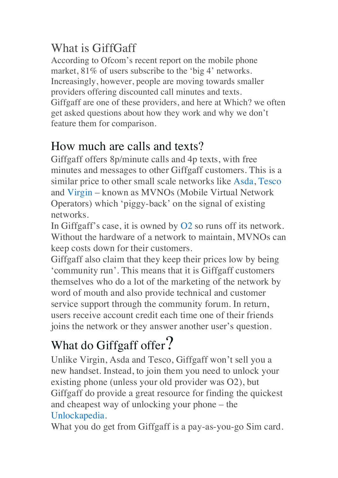### What is GiffGaff

According to Ofcom's recent report on the mobile phone market,  $81\%$  of users subscribe to the 'big 4' networks. Increasingly, however, people are moving towards smaller providers offering discounted call minutes and texts. Giffgaff are one of these providers, and here at Which? we often get asked questions about how they work and why we don't feature them for comparison.

#### How much are calls and texts?

Giffgaff offers 8p/minute calls and 4p texts, with free minutes and messages to other Giffgaff customers. This is a similar price to other small scale networks like Asda, Tesco and Virgin – known as MVNOs (Mobile Virtual Network Operators) which 'piggy-back' on the signal of existing networks.

In Giffgaff's case, it is owned by O2 so runs off its network. Without the hardware of a network to maintain, MVNOs can keep costs down for their customers.

Giffgaff also claim that they keep their prices low by being 'community run'. This means that it is Giffgaff customers themselves who do a lot of the marketing of the network by word of mouth and also provide technical and customer service support through the community forum. In return, users receive account credit each time one of their friends joins the network or they answer another user's question.

# What do Giffgaff offer?

Unlike Virgin, Asda and Tesco, Giffgaff won't sell you a new handset. Instead, to join them you need to unlock your existing phone (unless your old provider was O2), but Giffgaff do provide a great resource for finding the quickest and cheapest way of unlocking your phone – the Unlockapedia.

What you do get from Giffgaff is a pay-as-you-go Sim card.